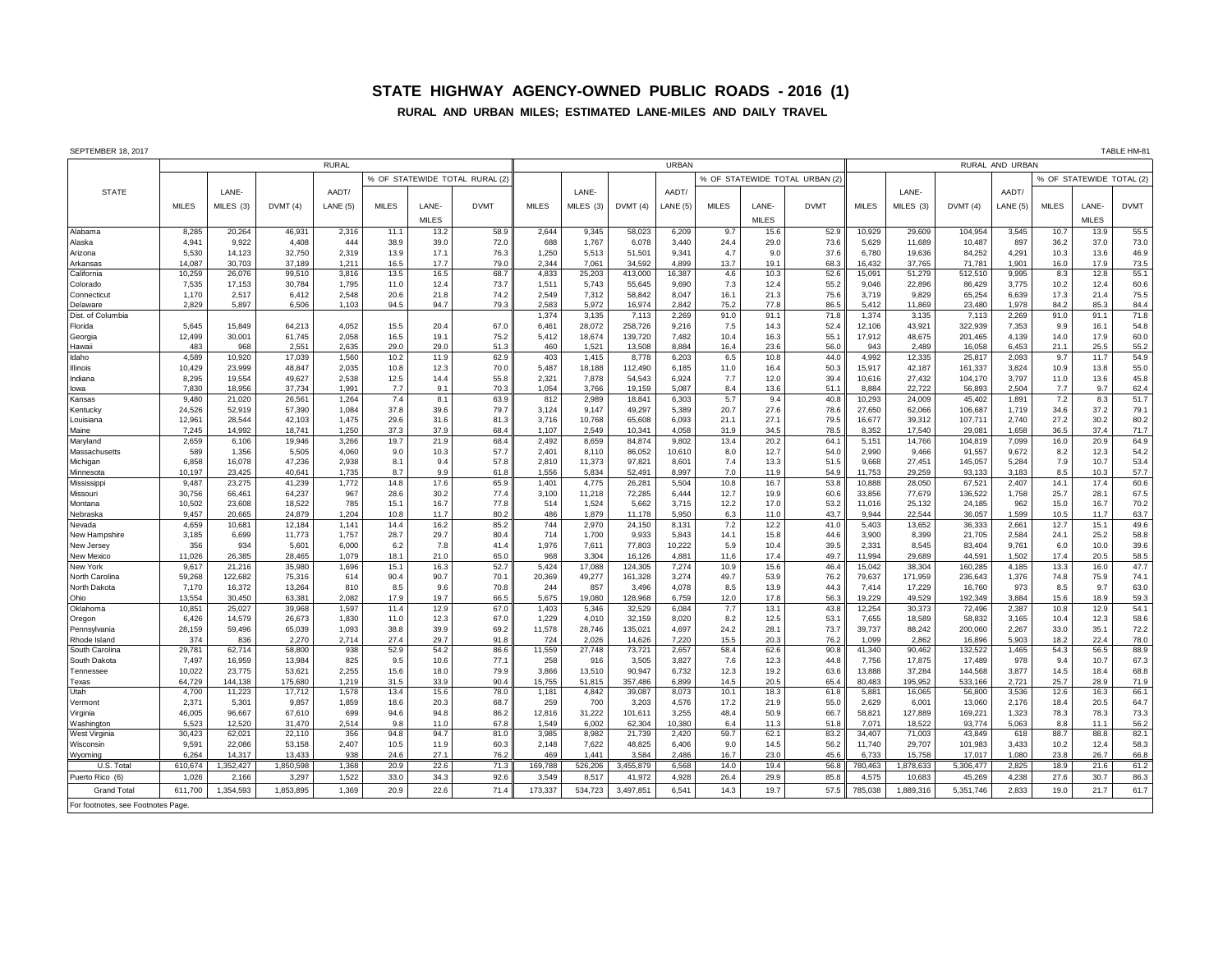## **STATE HIGHWAY AGENCY-OWNED PUBLIC ROADS - 2016 (1)**

## **RURAL AND URBAN MILES; ESTIMATED LANE-MILES AND DAILY TRAVEL**

|  |  | SEPTEMBER 18 2017 |
|--|--|-------------------|

| SEPTEMBER 18, 2017<br>TABLE HM-8   |                 |                  |                  |                |              |              |                               |                 |                 |                   |                 |              |              |                              |                 |                   |                   |                |              |                          |              |
|------------------------------------|-----------------|------------------|------------------|----------------|--------------|--------------|-------------------------------|-----------------|-----------------|-------------------|-----------------|--------------|--------------|------------------------------|-----------------|-------------------|-------------------|----------------|--------------|--------------------------|--------------|
|                                    | <b>RURAL</b>    |                  |                  |                |              |              | URBAN                         |                 |                 |                   |                 |              |              | RURAL AND URBAN              |                 |                   |                   |                |              |                          |              |
|                                    |                 |                  |                  |                |              |              | % OF STATEWIDE TOTAL RURAL (2 |                 |                 |                   |                 |              |              | % OF STATEWIDE TOTAL URBAN ( |                 |                   |                   |                |              | % OF STATEWIDE TOTAL (2) |              |
| <b>STATE</b>                       |                 | LANE-            |                  | AADT/          |              |              |                               |                 | LANE-           |                   | AADT/           |              |              |                              |                 | LANE-             |                   | AADT/          |              |                          |              |
|                                    | <b>MILES</b>    | MILES (3)        | DVMT(4)          | LANE (5)       | <b>MILES</b> | LANE-        | <b>DVMT</b>                   | <b>MILES</b>    | MILES (3)       | DVMT (4)          | LANE(5)         | <b>MILES</b> | LANE-        | <b>DVMT</b>                  | <b>MILES</b>    | MILES (3)         | DVMT(4)           | LANE(5)        | <b>MILES</b> | LANE-                    | <b>DVMT</b>  |
|                                    |                 |                  |                  |                |              | <b>MILES</b> |                               |                 |                 |                   |                 |              | <b>MILES</b> |                              |                 |                   |                   |                |              | <b>MILES</b>             |              |
| Alabama                            | 8,285           | 20,264           | 46,931           | 2,316          | 11.1         | 13.2         | 58.9                          | 2,644           | 9,345           | 58,023            | 6,209           | 9.7          | 15.6         | 52.9                         | 10,929          | 29,609            | 104,954           | 3,545          | 10.7         | 13.9                     | 55.5         |
| Alaska                             | 4,941           | 9,922            | 4,408            | 444            | 38.9         | 39.0         | 72.0                          | 688             | 1,767           | 6,078             | 3,440           | 24.4         | 29.0         | 73.6                         | 5,629           | 11,689            | 10,487            | 897            | 36.2         | 37.0                     | 73.0         |
| Arizona                            | 5,530           | 14.123           | 32,750           | 2,319          | 13.9         | 17.1         | 76.3                          | 1,250           | 5,513           | 51,501            | 9,341           | 4.7          | 9.0          | 37.6                         | 6.780           | 19,636            | 84,252            | 4,291          | 10.3         | 13.6                     | 46.9         |
| Arkansas                           | 14,087          | 30.703           | 37,189           | 1,211          | 16.5         | 17.7         | 79.0                          | 2.344           | 7,061           | 34,592            | 4,899           | 13.7         | 19.1         | 68.3                         | 16,432          | 37,765            | 71,781            | 1,901          | 16.0         | 17.9                     | 73.5         |
| California                         | 10,259          | 26,076           | 99,510           | 3,816          | 13.5         | 16.5         | 68.7                          | 4,833           | 25,203          | 413,000           | 16,387          | 4.6          | 10.3         | 52.6                         | 15,091          | 51,279            | 512,510           | 9,995          | 8.3          | 12.8                     | 55.1         |
| Colorado                           | 7,535           | 17,153           | 30,784           | 1,795          | 11.0         | 12.4         | 73.7                          | 1,511           | 5,743           | 55,645            | 9,690           | 7.3          | 12.4         | 55.2                         | 9,046           | 22,896            | 86,429            | 3,775          | 10.2         | 12.4                     | 60.6         |
| Connecticut                        | 1.170           | 2.517            | 6.412            | 2.548          | 20.6         | 21.8         | 74.2                          | 2.549           | 7,312           | 58,842            | 8,047           | 16.1         | 21.3         | 75.6                         | 3.719           | 9,829             | 65,254            | 6,639          | 17.3         | 21.4                     | 75.5         |
| Delaware                           | 2,829           | 5.897            | 6.506            | 1,103          | 94.5         | 94.7         | 79.3                          | 2.583           | 5,972           | 16,974            | 2,842           | 75.2         | 77.8         | 86.5                         | 5.412           | 11,869            | 23,480            | 1.978          | 84.2         | 85.3                     | 84.4         |
| Dist. of Columbia                  |                 |                  |                  |                |              |              |                               | 1,374           | 3,135           | 7,113             | 2,269           | 91.0         | 91.          | 71.8                         | 1,374           | 3,135             | 7,113             | 2,269          | 91.0         | 91.1                     | 71.8         |
| Florida                            | 5,645           | 15,849           | 64,213           | 4,052          | 15.5         | 20.4         | 67.0                          | 6,461           | 28,072          | 258,726           | 9,216           | 7.5          | 14.3         | 52.4                         | 12,106          | 43,921            | 322,939           | 7,353          | 9.9          | 16.1                     | 54.8         |
| Georgia                            | 12.499<br>483   | 30,001<br>968    | 61.745<br>2,551  | 2.058          | 16.5<br>29.0 | 19.1<br>29.0 | 75.2<br>51.3                  | 5,412<br>460    | 18,674<br>1,521 | 139.720           | 7.482<br>8,884  | 10.4         | 16.3<br>23.6 | 55.1<br>56.0                 | 17.912<br>943   | 48.675<br>2.489   | 201,465           | 4.139          | 14.0         | 17.9<br>25.5             | 60.0<br>55.2 |
| Hawaii<br>Idaho                    | 4,589           | 10,920           | 17,039           | 2,635<br>1,560 | 10.2         | 11.9         | 62.9                          | 403             | 1,415           | 13,508<br>8,778   | 6,203           | 16.4<br>6.5  | 10.8         | 44.0                         | 4,992           | 12,335            | 16,058<br>25,817  | 6,453<br>2,093 | 21.1<br>9.7  | 11.7                     | 54.9         |
| <b>Illinois</b>                    | 10.429          | 23.999           | 48.847           | 2.035          | 10.8         | 12.3         | 70.0                          | 5.487           | 18.188          | 112.490           | 6.185           | 11.0         | 16.4         | 50.3                         | 15.917          | 42.187            | 161,337           | 3.824          | 10.9         | 13.8                     | 55.0         |
| Indiana                            | 8,295           | 19.554           | 49,627           | 2,538          | 12.5         | 14.4         | 55.8                          | 2.321           | 7,878           | 54,543            | 6,924           | 7.7          | 12.0         | 39.4                         | 10.616          | 27,432            | 104,170           | 3.797          | 11.0         | 13.6                     | 45.8         |
| lowa                               | 7,830           | 18,956           | 37,734           | 1.991          | 7.7          | 9.1          | 70.3                          | 1,054           | 3,766           | 19,159            | 5,087           | 8.4          | 13.6         | 51.1                         | 8,884           | 22,722            | 56,893            | 2,504          | 7.7          | 9.7                      | 62.4         |
| Kansas                             | 9,480           | 21,020           | 26,561           | 1,264          | 7.4          | 8.1          | 63.9                          | 812             | 2,989           | 18,841            | 6,303           | 5.7          | 9.4          | 40.8                         | 10,293          | 24,009            | 45,402            | 1,891          | $7.2\,$      | 8.3                      | 51.7         |
| Kentucky                           | 24,526          | 52,919           | 57,390           | 1,084          | 37.8         | 39.6         | 79.7                          | 3,124           | 9,147           | 49,297            | 5,389           | 20.7         | 27.6         | 78.6                         | 27,650          | 62,066            | 106,687           | 1,719          | 34.6         | 37.2                     | 79.1         |
| Louisiana                          | 12,961          | 28,544           | 42,103           | 1,475          | 29.6         | 31.6         | 81.3                          | 3,716           | 10,768          | 65,608            | 6,093           | 21.1         | 27.1         | 79.5                         | 16,677          | 39,312            | 107,711           | 2,740          | 27.2         | 30.2                     | 80.2         |
| Maine<br>Maryland                  | 7,245<br>2,659  | 14,992<br>6,106  | 18,741<br>19,946 | 1,250<br>3,266 | 37.3<br>19.7 | 37.9<br>21.9 | 68.<br>68.4                   | 1,107<br>2,492  | 2,549           | 10,341<br>84,874  | 4,058<br>9,802  | 31.9         | 34.5<br>20.2 | 78.5<br>64.                  | 8,352<br>5,151  | 17,540<br>14,766  | 29,081            | 1,658<br>7,099 | 36.5<br>16.0 | 37.4<br>20.9             | 71.7<br>64.9 |
| Massachusetts                      | 589             | 1,356            | 5,505            | 4,060          | 9.0          | 10.3         | 57.7                          | 2,401           | 8,659<br>8,110  | 86,052            | 10,610          | 13.4<br>8.0  | 12.7         | 54.0                         | 2,990           | 9,466             | 104,819<br>91,557 | 9,672          | 8.2          | 12.3                     | 54.2         |
| Michigan                           | 6,858           | 16,078           | 47,236           | 2,938          | 8.1          | 9.4          | 57.8                          | 2,810           | 11,373          | 97,821            | 8,601           | 7.4          | 13.3         | 51.5                         | 9,668           | 27,451            | 145,057           | 5,284          | 7.9          | 10.7                     | 53.4         |
| Minnesota                          | 10,197          | 23,425           | 40,641           | 1,735          | 8.7          | 9.9          | 61.8                          | 1.556           | 5,834           | 52.491            | 8,997           | 7.0          | 11.9         | 54.9                         | 11,753          | 29,259            | 93,133            | 3.183          | 8.5          | 10.3                     | 57.7         |
| Mississippi                        | 9,487           | 23.275           | 41,239           | 1,772          | 14.8         | 17.6         | 65.9                          | 1,401           | 4,775           | 26.281            | 5,504           | 10.8         | 16.7         | 53.8                         | 10,888          | 28,050            | 67,521            | 2.407          | 14.1         | 17.4                     | 60.6         |
| Missouri                           | 30,756          | 66,461           | 64,237           | 967            | 28.6         | 30.2         | 77.4                          | 3,100           | 11,218          | 72,285            | 6,444           | 12.7         | 19.9         | 60.6                         | 33,856          | 77,679            | 136,522           | 1,758          | 25.7         | 28.1                     | 67.5         |
| Montana                            | 10,502          | 23,608           | 18,522           | 785            | 15.1         | 16.7         | 77.8                          | 514             | 1,524           | 5,662             | 3,715           | 12.2         | 17.0         | 53.2                         | 11,016          | 25,132            | 24,185            | 962            | 15.0         | 16.7                     | 70.2         |
| Nebraska                           | 9.457           | 20.665           | 24.879           | 1.204          | 10.8         | 11.7         | 80.2                          | 486<br>744      | 1,879           | 11.178            | 5.950           | 6.3          | 11.0         | 43.7                         | 9.944           | 22.544            | 36,057            | 1.599          | 10.5         | 11.7                     | 63.7         |
| Nevada<br>New Hampshire            | 4,659<br>3,185  | 10,681<br>6,699  | 12,184<br>11,773 | 1,141<br>1,757 | 14.4<br>28.7 | 16.2<br>29.7 | 85.2<br>80.4                  | 714             | 2,970<br>1,700  | 24,150<br>9,933   | 8,131<br>5,843  | 7.2<br>14.1  | 12.2<br>15.8 | 41.0<br>44.6                 | 5,403<br>3,900  | 13,652<br>8,399   | 36,333<br>21,705  | 2,661<br>2,584 | 12.7<br>24.1 | 15.1<br>25.2             | 49.6<br>58.8 |
| New Jersey                         | 356             | 934              | 5,601            | 6,000          | 6.2          | 7.8          | 41.4                          | 1.976           | 7,611           | 77,803            | 10,222          | 5.9          | 10.4         | 39.5                         | 2,331           | 8.545             | 83,404            | 9.761          | 6.0          | 10.0                     | 39.6         |
| New Mexico                         | 11.026          | 26.385           | 28.465           | 1.079          | 18.1         | 21.0         | 65.0                          | 968             | 3.304           | 16.126            | 4.881           | 11.6         | 17.4         | 49.7                         | 11.994          | 29.689            | 44.591            | 1.502          | 17.4         | 20.5                     | 58.5         |
| New York                           | 9,617           | 21,216           | 35.980           | 1,696          | 15.1         | 16.3         | 52.7                          | 5.424           | 17,088          | 124,305           | 7,274           | 10.9         | 15.6         | 46.4                         | 15,042          | 38.304            | 160,285           | 4,185          | 13.3         | 16.0                     | 47.7         |
| North Carolina                     | 59,268          | 122,682          | 75,316           | 614            | 90.4         | 90.7         | 70.1                          | 20,369          | 49,277          | 161,328           | 3,274           | 49.7         | 53.9         | 76.2                         | 79,637          | 171,959           | 236,643           | 1,376          | 74.8         | 75.9                     | 74.1         |
| North Dakota                       | 7,170           | 16,372           | 13,264           | 810            | 8.5          | 9.6          | 70.8                          | 244             | 857             | 3,496             | 4,078           | 8.5          | 13.9         | 44.3                         | 7,414           | 17,229            | 16,760            | 973            | 8.5          | 9.7                      | 63.0         |
| Ohio                               | 13,554          | 30,450           | 63,381           | 2,082          | 17.9         | 19.7         | 66.                           | 5,675           | 19,080          | 128,968           | 6,759           | 12.0         | 17.8         | 56.3                         | 19,229          | 49,529            | 192,349           | 3,884          | 15.6         | 18.9                     | 59.3         |
| Oklahoma                           | 10,851          | 25,027<br>14,579 | 39,968           | 1,597<br>1,830 | 11.4<br>11.0 | 12.9<br>12.3 | 67.0<br>67.0                  | 1,403<br>1,229  | 5,346           | 32,529            | 6,084           | 7.7<br>8.2   | 13.          | 43.8                         | 12,254          | 30,373            | 72,496            | 2,387          | 10.8<br>10.4 | 12.9                     | 54.1<br>58.6 |
| Oregon<br>Pennsylvania             | 6,426<br>28,159 | 59,496           | 26,673<br>65,039 | 1,093          | 38.8         | 39.9         | 69.2                          | 11,578          | 4,010<br>28,746 | 32,159<br>135,021 | 8,020<br>4,697  | 24.2         | 12.5<br>28.1 | 53.1<br>73.7                 | 7,655<br>39,737 | 18,589<br>88,242  | 58,832<br>200,060 | 3,165<br>2,267 | 33.0         | 12.3<br>35.1             | 72.2         |
| Rhode Island                       | 374             | 836              | 2,270            | 2,714          | 27.4         | 29.7         | 91.8                          | 724             | 2,026           | 14,626            | 7,220           | 15.5         | 20.3         | 76.2                         | 1,099           | 2,862             | 16,896            | 5,903          | 18.2         | 22.4                     | 78.0         |
| South Carolina                     | 29,781          | 62,714           | 58,800           | 938            | 52.9         | 54.2         | 86.6                          | 11,559          | 27,748          | 73,721            | 2,657           | 58.4         | 62.6         | 90.8                         | 41,340          | 90,462            | 132,522           | 1,465          | 54.3         | 56.5                     | 88.9         |
| South Dakota                       | 7,497           | 16,959           | 13,984           | 825            | 9.5          | 10.6         | 77.1                          | 258             | 916             | 3,505             | 3,827           | 7.6          | 12.3         | 44.8                         | 7.756           | 17,875            | 17,489            | 978            | 9.4          | 10.7                     | 67.3         |
| Fennessee                          | 10,022          | 23,775           | 53,621           | 2,255          | 15.6         | 18.0         | 79.9                          | 3,866           | 13,510          | 90,947            | 6,732           | 12.3         | 19.2         | 63.6                         | 13,888          | 37,284            | 144,568           | 3,877          | 14.5         | 18.4                     | 68.8         |
| Гехаs                              | 64,729          | 144.138          | 175,680          | 1,219          | 31.5         | 33.9         | 90.4                          | 15.755          | 51,815          | 357,486           | 6,899           | 14.5         | 20.5         | 65.4                         | 80,483          | 195,952           | 533,166           | 2,721          | 25.7         | 28.9                     | 71.9         |
| Utah                               | 4,700           | 11,223           | 17,712           | 1,578          | 13.4         | 15.6         | 78.0                          | 1,181           | 4,842           | 39,087            | 8,073           | 10.1         | 18.3         | 61.8                         | 5,881           | 16,065            | 56,800            | 3,536          | 12.6         | 16.3                     | 66.1         |
| Vermont                            | 2,371           | 5,301            | 9,857            | 1,859          | 18.6         | 20.3         | 68.7                          | 259             | 700             | 3,203             | 4,576           | 17.2         | 21.9         | 55.0                         | 2,629           | 6,001             | 13,060            | 2,176          | 18.4         | 20.5                     | 64.7         |
| Virginia<br>Washingtor             | 46,005<br>5,523 | 96.667<br>12,520 | 67.610<br>31,470 | 699<br>2,514   | 94.6<br>9.8  | 94.8<br>11.0 | 86.2<br>67.8                  | 12.816<br>1.549 | 31,222<br>6,002 | 101,611<br>62,304 | 3.255<br>10,380 | 48.4<br>6.4  | 50.9<br>11.3 | 66.7<br>51.8                 | 58,821<br>7,071 | 127,889<br>18,522 | 169,221<br>93,774 | 1.323<br>5,063 | 78.3<br>8.8  | 78.3<br>11.1             | 73.3<br>56.2 |
| West Virginia                      | 30,423          | 62,021           | 22,110           | 356            | 94.8         | 94.7         | 81.0                          | 3.985           | 8.982           | 21,739            | 2.420           | 59.7         | 62.1         | 83.2                         | 34.407          | 71.003            | 43,849            | 618            | 88.7         | 88.8                     | 82.1         |
| Wisconsin                          | 9.591           | 22.086           | 53.158           | 2.407          | 10.5         | 11.9         | 60.3                          | 2.148           | 7.622           | 48.825            | 6.406           | 9.0          | 14.5         | 56.2                         | 11.740          | 29.707            | 101.983           | 3.433          | 10.2         | 12.4                     | 58.3         |
| Wyomina                            | 6.264           | 14.317           | 13.433           | 938            | 24.6         | 27.1         | 76.2                          | 469             | 1.441           | 3.584             | 2.486           | 16.7         | 23.0         | 45.6                         | 6.733           | 15.758            | 17.017            | 1.080          | 23.8         | 26.7                     | 66.8         |
| U.S. Total                         | 610,674         | 1,352,427        | 1,850,598        | 1,368          | 20.9         | 22.6         | 71.3                          | 169,788         | 526,206         | 3,455,879         | 6,568           | 14.0         | 19.4         | 56.8                         | 780,463         | 1,878,633         | 5,306,477         | 2,825          | 18.9         | 21.6                     | 61.2         |
| Puerto Rico (6)                    | 1,026           | 2,166            | 3,297            | 1,522          | 33.0         | 34.3         | 92.6                          | 3.549           | 8.517           | 41,972            | 4,928           | 26.4         | 29.9         | 85.                          | 4.575           | 10,683            | 45,269            | 4.238          | 27.6         | 30.7                     | 86.3         |
| <b>Grand Total</b>                 | 611.700         | 1,354,593        | 1,853,895        | 1,369          | 20.9         | 22.6         | 71.                           | 173.337         | 534.723         | 3,497,851         | 6,541           | 14.3         | 19.7         | 57.5                         | 785,038         | 1,889,316         | 5,351,746         | 2,833          | 19.0         | 21.7                     | 61.7         |
| For footnotes, see Footnotes Page. |                 |                  |                  |                |              |              |                               |                 |                 |                   |                 |              |              |                              |                 |                   |                   |                |              |                          |              |